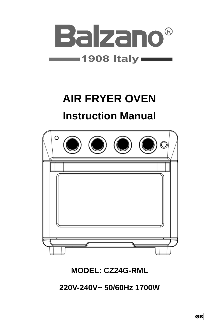

# **AIR FRYER OVEN**

# **Instruction Manual**



## **MODEL: CZ24G-RML**

**220V-240V~ 50/60Hz 1700W**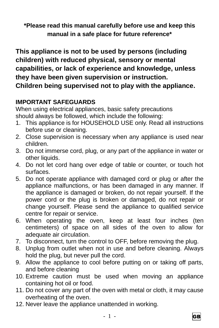**\*Please read this manual carefully before use and keep this manual in a safe place for future reference\***

**This appliance is not to be used by persons (including children) with reduced physical, sensory or mental capabilities, or lack of experience and knowledge, unless they have been given supervision or instruction. Children being supervised not to play with the appliance.**

## **IMPORTANT SAFEGUARDS**

When using electrical appliances, basic safety precautions should always be followed, which include the following:

- 1. This appliance is for HOUSEHOLD USE only. Read all instructions before use or cleaning.
- 2. Close supervision is necessary when any appliance is used near children.
- 3. Do not immerse cord, plug, or any part of the appliance in water or other liquids.
- 4. Do not let cord hang over edge of table or counter, or touch hot surfaces.
- 5. Do not operate appliance with damaged cord or plug or after the appliance malfunctions, or has been damaged in any manner. If the appliance is damaged or broken, do not repair yourself. If the power cord or the plug is broken or damaged, do not repair or change yourself. Please send the appliance to qualified service centre for repair or service.
- 6. When operating the oven, keep at least four inches (ten centimeters) of space on all sides of the oven to allow for adequate air circulation.
- 7. To disconnect, turn the control to OFF, before removing the plug.
- 8. Unplug from outlet when not in use and before cleaning. Always hold the plug, but never pull the cord.
- 9. Allow the appliance to cool before putting on or taking off parts, and before cleaning
- 10. Extreme caution must be used when moving an appliance containing hot oil or food.
- 11. Do not cover any part of the oven with metal or cloth, it may cause overheating of the oven.
- 12. Never leave the appliance unattended in working.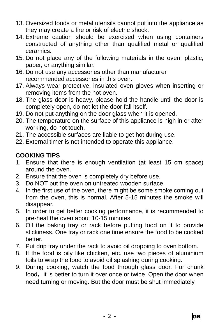- 13. Oversized foods or metal utensils cannot put into the appliance as they may create a fire or risk of electric shock.
- 14. Extreme caution should be exercised when using containers constructed of anything other than qualified metal or qualified ceramics.
- 15. Do not place any of the following materials in the oven: plastic, paper, or anything similar.
- 16. Do not use any accessories other than manufacturer recommended accessories in this oven.
- 17. Always wear protective, insulated oven gloves when inserting or removing items from the hot oven.
- 18. The glass door is heavy, please hold the handle until the door is completely open, do not let the door fall itself.
- 19. Do not put anything on the door glass when it is opened.
- 20. The temperature on the surface of this appliance is high in or after working, do not touch.
- 21. The accessible surfaces are liable to get hot during use.
- 22. External timer is not intended to operate this appliance.

## **COOKING TIPS**

- 1. Ensure that there is enough ventilation (at least 15 cm space) around the oven.
- 2. Ensure that the oven is completely dry before use.
- 3. Do NOT put the oven on untreated wooden surface.
- 4. In the first use of the oven, there might be some smoke coming out from the oven, this is normal. After 5-15 minutes the smoke will disappear.
- 5. In order to get better cooking performance, it is recommended to pre-heat the oven about 10-15 minutes.
- 6. Oil the baking tray or rack before putting food on it to provide stickiness. One tray or rack one time ensure the food to be cooked better.
- 7. Put drip tray under the rack to avoid oil dropping to oven bottom.
- 8. If the food is oily like chicken, etc. use two pieces of aluminium foils to wrap the food to avoid oil splashing during cooking.
- 9. During cooking, watch the food through glass door. For chunk food, it is better to turn it over once or twice. Open the door when need turning or moving. But the door must be shut immediately.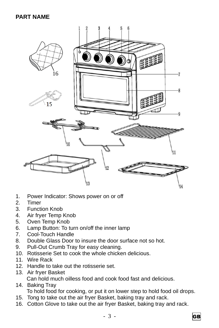#### **PART NAME**



- 1. Power Indicator: Shows power on or off
- 2. Timer
- 3. Function Knob
- 4. Air fryer Temp Knob
- 5. Oven Temp Knob
- 6. Lamp Button: To turn on/off the inner lamp
- 7. Cool-Touch Handle
- 8. Double Glass Door to insure the door surface not so hot.
- 9. Pull-Out Crumb Tray for easy cleaning.
- 10. Rotisserie Set to cook the whole chicken delicious.
- 11. Wire Rack
- 12. Handle to take out the rotisserie set.
- 13. Air fryer Basket Can hold much oilless food and cook food fast and delicious.
- 14. Baking Tray To hold food for cooking, or put it on lower step to hold food oil drops.
- 15. Tong to take out the air fryer Basket, baking tray and rack.
- 16. Cotton Glove to take out the air fryer Basket, baking tray and rack.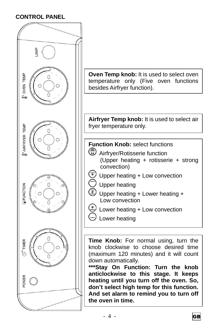#### **CONTROL PANEL**

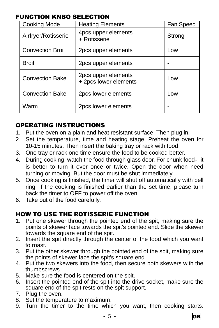#### FUNCTION KNBO SELECTION

| <b>Cooking Mode</b>     | <b>Heating Elements</b>                      | Fan Speed |
|-------------------------|----------------------------------------------|-----------|
| Airfryer/Rotisserie     | 4pcs upper elements<br>+ Rotisserie          | Strong    |
| <b>Convection Broil</b> | 2pcs upper elements                          | Low       |
| <b>Broil</b>            | 2pcs upper elements                          |           |
| <b>Convection Bake</b>  | 2pcs upper elements<br>+ 2pcs lower elements | Low       |
| <b>Convection Bake</b>  | 2pcs lower elements                          | Low       |
| Warm                    | 2pcs lower elements                          |           |

#### OPERATING INSTRUCTIONS

- 1. Put the oven on a plain and heat resistant surface. Then plug in.
- 2. Set the temperature, time and heating stage. Preheat the oven for 10-15 minutes. Then insert the baking tray or rack with food.
- 3. One tray or rack one time ensure the food to be cooked better.
- 4. During cooking, watch the food through glass door. For chunk food, it is better to turn it over once or twice. Open the door when need turning or moving. But the door must be shut immediately.
- 5. Once cooking is finished, the timer will shut off automatically with bell ring. If the cooking is finished earlier than the set time, please turn back the timer to OFF to power off the oven.
- 6. Take out of the food carefully.

#### HOW TO USE THE ROTISSERIE FUNCTION

- 1. Put one skewer through the pointed end of the spit, making sure the points of skewer face towards the spit's pointed end. Slide the skewer towards the square end of the spit.
- 2. Insert the spit directly through the center of the food which you want to roast.
- 3. Put the other skewer through the pointed end of the spit, making sure the points of skewer face the spit's square end.
- 4. Put the two skewers into the food, then secure both skewers with the thumbscrews.
- 5. Make sure the food is centered on the spit.
- 6. Insert the pointed end of the spit into the drive socket, make sure the square end of the spit rests on the spit support.
- 7. Plug the oven.
- 8. Set the temperature to maximum.
- 9. Turn the timer to the time which you want, then cooking starts.

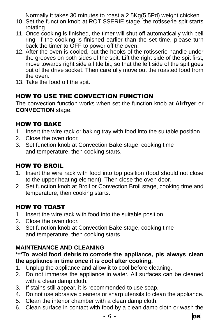Normally it takes 30 minutes to roast a 2.5Kg(5.5Pd) weight chicken.

- 10. Set the function knob at ROTISSERIE stage, the rotisserie spit starts rotating.
- 11. Once cooking is finished, the timer will shut off automatically with bell ring. If the cooking is finished earlier than the set time, please turn back the timer to OFF to power off the oven.
- 12. After the oven is cooled, put the hooks of the rotisserie handle under the grooves on both sides of the spit. Lift the right side of the spit first, move towards right side a little bit, so that the left side of the spit goes out of the drive socket. Then carefully move out the roasted food from the oven.
- 13. Take the food off the spit.

### HOW TO USE THE CONVECTION FUNCTION

The convection function works when set the function knob at **Airfryer** or **CONVECTION** stage.

#### HOW TO BAKE

- 1. Insert the wire rack or baking tray with food into the suitable position.
- 2. Close the oven door.
- 3. Set function knob at Convection Bake stage, cooking time and temperature, then cooking starts.

#### HOW TO BROIL

- 1. Insert the wire rack with food into top position (food should not close to the upper heating element). Then close the oven door.
- 2. Set function knob at Broil or Convection Broil stage, cooking time and temperature, then cooking starts.

### HOW TO TOAST

- 1. Insert the wire rack with food into the suitable position.
- 2. Close the oven door.
- 3. Set function knob at Convection Bake stage, cooking time and temperature, then cooking starts.

#### **MAINTENANCE AND CLEANING**

#### **\*\*\*To avoid food debris to corrode the appliance, pls always clean the appliance in time once it is cool after cooking.**

- 1. Unplug the appliance and allow it to cool before cleaning.
- 2. Do not immerse the appliance in water. All surfaces can be cleaned with a clean damp cloth.
- 3. If stains still appear, it is recommended to use soap.
- 4. Do not use abrasive cleaners or sharp utensils to clean the appliance.
- 5. Clean the interior chamber with a clean damp cloth.
- 6. Clean surface in contact with food by a clean damp cloth or wash the

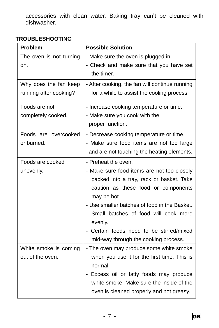accessories with clean water. Baking tray can't be cleaned with dishwasher.

#### **TROUBLESHOOTING**

| Problem                 | <b>Possible Solution</b>                        |
|-------------------------|-------------------------------------------------|
| The oven is not turning | - Make sure the oven is plugged in.             |
| on.                     | - Check and make sure that you have set         |
|                         | the timer.                                      |
| Why does the fan keep   | - After cooking, the fan will continue running  |
| running after cooking?  | for a while to assist the cooling process.      |
| Foods are not           | - Increase cooking temperature or time.         |
| completely cooked.      | - Make sure you cook with the                   |
|                         | proper function.                                |
| Foods are overcooked    | - Decrease cooking temperature or time.         |
| or burned.              | - Make sure food items are not too large        |
|                         | and are not touching the heating elements.      |
| Foods are cooked        | - Preheat the oven.                             |
| unevenly.               | - Make sure food items are not too closely      |
|                         | packed into a tray, rack or basket. Take        |
|                         | caution as these food or components             |
|                         | may be hot.                                     |
|                         | - Use smaller batches of food in the Basket.    |
|                         | Small batches of food will cook more<br>evenly. |
|                         | Certain foods need to be stirred/mixed          |
|                         | mid-way through the cooking process.            |
| White smoke is coming   | - The oven may produce some white smoke         |
| out of the oven.        | when you use it for the first time. This is     |
|                         | normal.                                         |
|                         | Excess oil or fatty foods may produce           |
|                         | white smoke. Make sure the inside of the        |
|                         | oven is cleaned properly and not greasy.        |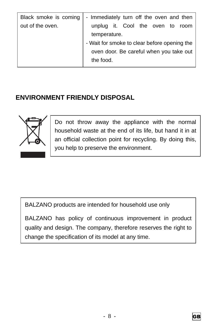| Black smoke is coming | - Immediately turn off the oven and then     |
|-----------------------|----------------------------------------------|
| out of the oven.      | unplug it. Cool the oven to room             |
|                       | temperature.                                 |
|                       | - Wait for smoke to clear before opening the |
|                       | oven door. Be careful when you take out      |
|                       | the food.                                    |

## **ENVIRONMENT FRIENDLY DISPOSAL**



Do not throw away the appliance with the normal household waste at the end of its life, but hand it in at an official collection point for recycling. By doing this, you help to preserve the environment.

BALZANO products are intended for household use only

BALZANO has policy of continuous improvement in product quality and design. The company, therefore reserves the right to change the specification of its model at any time.